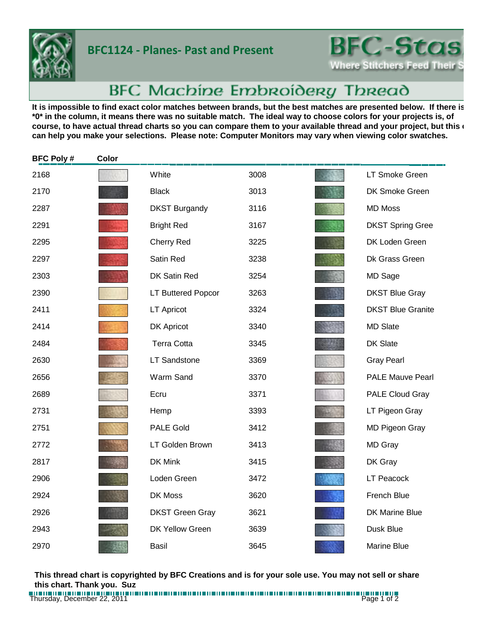

## **BFC1124 - Planes- Past and Present**



## BFC Machine Embroidery Thread

It is impossible to find exact color matches between brands, but the best matches are presented below. If there is **\*0\* in the column, it means there was no suitable match. The ideal way to choose colors for your projects is, of**  course, to have actual thread charts so you can compare them to your available thread and your project, but this **c can help you make your selections. Please note: Computer Monitors may vary when viewing color swatches.**

| <b>BFC Poly#</b> | Color |                        |      |                          |
|------------------|-------|------------------------|------|--------------------------|
| 2168             |       | White                  | 3008 | LT Smoke Green           |
| 2170             |       | <b>Black</b>           | 3013 | DK Smoke Green           |
| 2287             |       | <b>DKST Burgandy</b>   | 3116 | <b>MD Moss</b>           |
| 2291             |       | <b>Bright Red</b>      | 3167 | <b>DKST Spring Gree</b>  |
| 2295             |       | <b>Cherry Red</b>      | 3225 | DK Loden Green           |
| 2297             |       | Satin Red              | 3238 | Dk Grass Green           |
| 2303             |       | DK Satin Red           | 3254 | MD Sage                  |
| 2390             |       | LT Buttered Popcor     | 3263 | <b>DKST Blue Gray</b>    |
| 2411             |       | <b>LT Apricot</b>      | 3324 | <b>DKST Blue Granite</b> |
| 2414             |       | <b>DK Apricot</b>      | 3340 | <b>MD Slate</b>          |
| 2484             |       | <b>Terra Cotta</b>     | 3345 | <b>DK Slate</b>          |
| 2630             |       | <b>LT Sandstone</b>    | 3369 | <b>Gray Pearl</b>        |
| 2656             |       | Warm Sand              | 3370 | <b>PALE Mauve Pearl</b>  |
| 2689             |       | Ecru                   | 3371 | <b>PALE Cloud Gray</b>   |
| 2731             |       | Hemp                   | 3393 | LT Pigeon Gray           |
| 2751             |       | <b>PALE Gold</b>       | 3412 | MD Pigeon Gray           |
| 2772             |       | LT Golden Brown        | 3413 | <b>MD Gray</b>           |
| 2817             |       | DK Mink                | 3415 | DK Gray                  |
| 2906             |       | Loden Green            | 3472 | <b>LT Peacock</b>        |
| 2924             |       | DK Moss                | 3620 | French Blue              |
| 2926             |       | <b>DKST Green Gray</b> | 3621 | DK Marine Blue           |
| 2943             |       | <b>DK Yellow Green</b> | 3639 | Dusk Blue                |
| 2970             |       | Basil                  | 3645 | <b>Marine Blue</b>       |

**This thread chart is copyrighted by BFC Creations and is for your sole use. You may not sell or share this chart. Thank you. Suz**